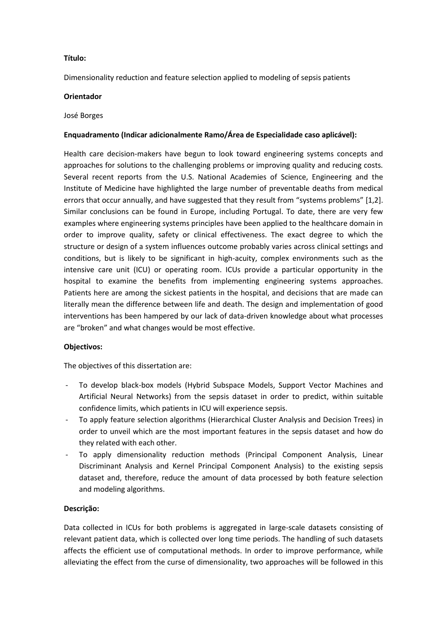## **Título:**

Dimensionality reduction and feature selection applied to modeling of sepsis patients

### **Orientador**

#### José Borges

### **Enquadramento (Indicar adicionalmente Ramo/Área de Especialidade caso aplicável):**

Health care decision-makers have begun to look toward engineering systems concepts and approaches for solutions to the challenging problems or improving quality and reducing costs. Several recent reports from the U.S. National Academies of Science, Engineering and the Institute of Medicine have highlighted the large number of preventable deaths from medical errors that occur annually, and have suggested that they result from "systems problems" [1,2]. Similar conclusions can be found in Europe, including Portugal. To date, there are very few examples where engineering systems principles have been applied to the healthcare domain in order to improve quality, safety or clinical effectiveness. The exact degree to which the structure or design of a system influences outcome probably varies across clinical settings and conditions, but is likely to be significant in high-acuity, complex environments such as the intensive care unit (ICU) or operating room. ICUs provide a particular opportunity in the hospital to examine the benefits from implementing engineering systems approaches. Patients here are among the sickest patients in the hospital, and decisions that are made can literally mean the difference between life and death. The design and implementation of good interventions has been hampered by our lack of data-driven knowledge about what processes are "broken" and what changes would be most effective.

### **Objectivos:**

The objectives of this dissertation are:

- To develop black-box models (Hybrid Subspace Models, Support Vector Machines and Artificial Neural Networks) from the sepsis dataset in order to predict, within suitable confidence limits, which patients in ICU will experience sepsis.
- To apply feature selection algorithms (Hierarchical Cluster Analysis and Decision Trees) in order to unveil which are the most important features in the sepsis dataset and how do they related with each other.
- To apply dimensionality reduction methods (Principal Component Analysis, Linear Discriminant Analysis and Kernel Principal Component Analysis) to the existing sepsis dataset and, therefore, reduce the amount of data processed by both feature selection and modeling algorithms.

### **Descrição:**

Data collected in ICUs for both problems is aggregated in large-scale datasets consisting of relevant patient data, which is collected over long time periods. The handling of such datasets affects the efficient use of computational methods. In order to improve performance, while alleviating the effect from the curse of dimensionality, two approaches will be followed in this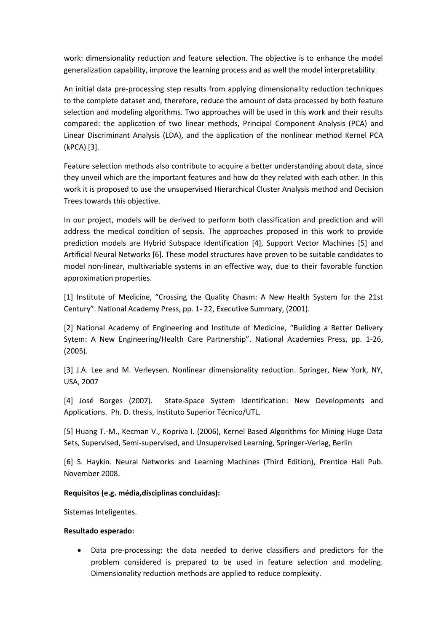work: dimensionality reduction and feature selection. The objective is to enhance the model generalization capability, improve the learning process and as well the model interpretability.

An initial data pre-processing step results from applying dimensionality reduction techniques to the complete dataset and, therefore, reduce the amount of data processed by both feature selection and modeling algorithms. Two approaches will be used in this work and their results compared: the application of two linear methods, Principal Component Analysis (PCA) and Linear Discriminant Analysis (LDA), and the application of the nonlinear method Kernel PCA (kPCA) [3].

Feature selection methods also contribute to acquire a better understanding about data, since they unveil which are the important features and how do they related with each other. In this work it is proposed to use the unsupervised Hierarchical Cluster Analysis method and Decision Trees towards this objective.

In our project, models will be derived to perform both classification and prediction and will address the medical condition of sepsis. The approaches proposed in this work to provide prediction models are Hybrid Subspace Identification [4], Support Vector Machines [5] and Artificial Neural Networks [6]. These model structures have proven to be suitable candidates to model non-linear, multivariable systems in an effective way, due to their favorable function approximation properties.

[1] Institute of Medicine, "Crossing the Quality Chasm: A New Health System for the 21st Century". National Academy Press, pp. 1- 22, Executive Summary, (2001).

[2] National Academy of Engineering and Institute of Medicine, "Building a Better Delivery Sytem: A New Engineering/Health Care Partnership". National Academies Press, pp. 1-26, (2005).

[3] J.A. Lee and M. Verleysen. Nonlinear dimensionality reduction. Springer, New York, NY, USA, 2007

[4] José Borges (2007). State-Space System Identification: New Developments and Applications. Ph. D. thesis, Instituto Superior Técnico/UTL.

[5] Huang T.-M., Kecman V., Kopriva I. (2006), Kernel Based Algorithms for Mining Huge Data Sets, Supervised, Semi-supervised, and Unsupervised Learning, Springer-Verlag, Berlin

[6] S. Haykin. Neural Networks and Learning Machines (Third Edition), Prentice Hall Pub. November 2008.

# **Requisitos (e.g. média,disciplinas concluídas):**

Sistemas Inteligentes.

### **Resultado esperado:**

 Data pre-processing: the data needed to derive classifiers and predictors for the problem considered is prepared to be used in feature selection and modeling. Dimensionality reduction methods are applied to reduce complexity.